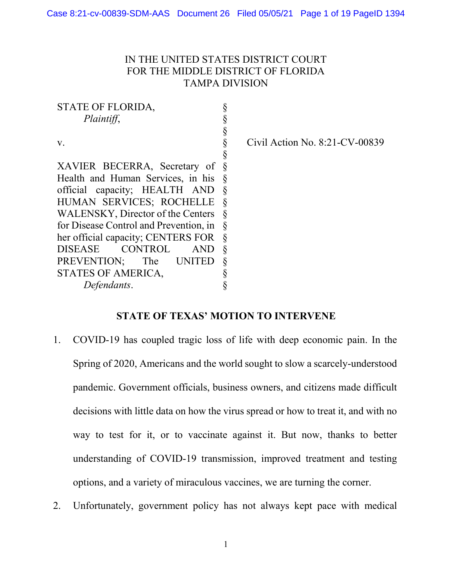# IN THE UNITED STATES DISTRICT COURT FOR THE MIDDLE DISTRICT OF FLORIDA TAMPA DIVISION

STATE OF FLORIDA, *Plaintiff*, v. XAVIER BECERRA, Secretary of Health and Human Services, in his official capacity; HEALTH AND HUMAN SERVICES; ROCHELLE WALENSKY, Director of the Centers for Disease Control and Prevention, in her official capacity; CENTERS FOR DISEASE CONTROL AND PREVENTION; The UNITED STATES OF AMERICA, *Defendants*. § § § § § § § § § § § § § § § §

Civil Action No. 8:21-CV-00839

#### **STATE OF TEXAS' MOTION TO INTERVENE**

- 1. COVID-19 has coupled tragic loss of life with deep economic pain. In the Spring of 2020, Americans and the world sought to slow a scarcely-understood pandemic. Government officials, business owners, and citizens made difficult decisions with little data on how the virus spread or how to treat it, and with no way to test for it, or to vaccinate against it. But now, thanks to better understanding of COVID-19 transmission, improved treatment and testing options, and a variety of miraculous vaccines, we are turning the corner.
- 2. Unfortunately, government policy has not always kept pace with medical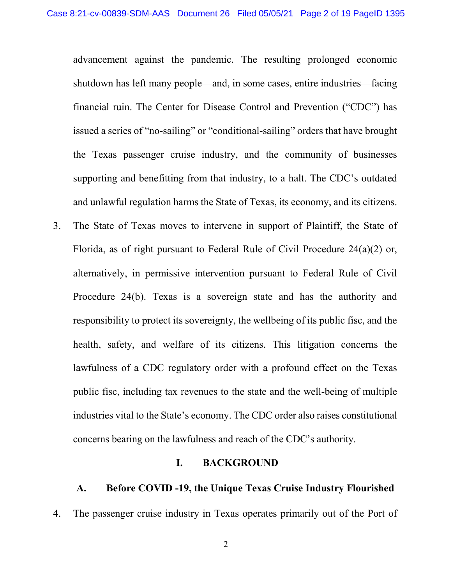advancement against the pandemic. The resulting prolonged economic shutdown has left many people—and, in some cases, entire industries—facing financial ruin. The Center for Disease Control and Prevention ("CDC") has issued a series of "no-sailing" or "conditional-sailing" orders that have brought the Texas passenger cruise industry, and the community of businesses supporting and benefitting from that industry, to a halt. The CDC's outdated and unlawful regulation harms the State of Texas, its economy, and its citizens.

3. The State of Texas moves to intervene in support of Plaintiff, the State of Florida, as of right pursuant to Federal Rule of Civil Procedure 24(a)(2) or, alternatively, in permissive intervention pursuant to Federal Rule of Civil Procedure 24(b). Texas is a sovereign state and has the authority and responsibility to protect its sovereignty, the wellbeing of its public fisc, and the health, safety, and welfare of its citizens. This litigation concerns the lawfulness of a CDC regulatory order with a profound effect on the Texas public fisc, including tax revenues to the state and the well-being of multiple industries vital to the State's economy. The CDC order also raises constitutional concerns bearing on the lawfulness and reach of the CDC's authority.

#### **I. BACKGROUND**

## **A. Before COVID -19, the Unique Texas Cruise Industry Flourished**

4. The passenger cruise industry in Texas operates primarily out of the Port of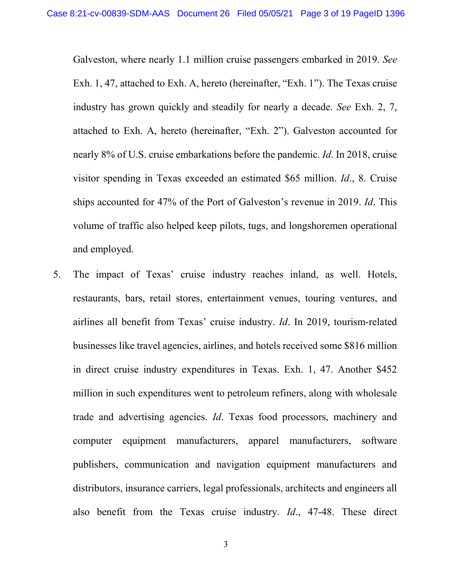Galveston, where nearly 1.1 million cruise passengers embarked in 2019. *See*  Exh. 1, 47, attached to Exh. A, hereto (hereinafter, "Exh. 1"). The Texas cruise industry has grown quickly and steadily for nearly a decade. *See* Exh. 2, 7, attached to Exh. A, hereto (hereinafter, "Exh. 2"). Galveston accounted for nearly 8% of U.S. cruise embarkations before the pandemic. *Id*. In 2018, cruise visitor spending in Texas exceeded an estimated \$65 million. *Id*., 8. Cruise ships accounted for 47% of the Port of Galveston's revenue in 2019. *Id*. This volume of traffic also helped keep pilots, tugs, and longshoremen operational and employed.

5. The impact of Texas' cruise industry reaches inland, as well. Hotels, restaurants, bars, retail stores, entertainment venues, touring ventures, and airlines all benefit from Texas' cruise industry. *Id*. In 2019, tourism-related businesses like travel agencies, airlines, and hotels received some \$816 million in direct cruise industry expenditures in Texas. Exh. 1, 47. Another \$452 million in such expenditures went to petroleum refiners, along with wholesale trade and advertising agencies. *Id*. Texas food processors, machinery and computer equipment manufacturers, apparel manufacturers, software publishers, communication and navigation equipment manufacturers and distributors, insurance carriers, legal professionals, architects and engineers all also benefit from the Texas cruise industry. *Id*., 47-48. These direct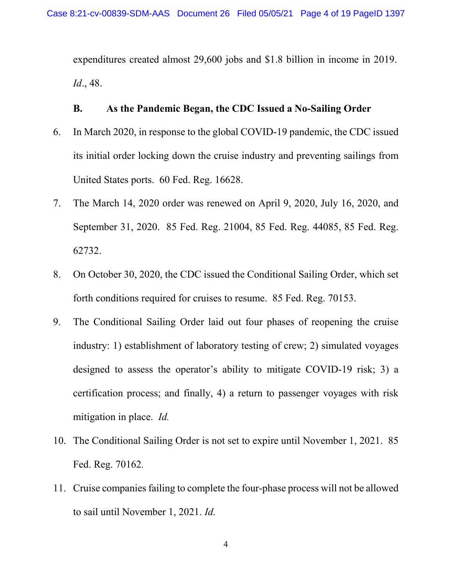expenditures created almost 29,600 jobs and \$1.8 billion in income in 2019. *Id*., 48.

### **B. As the Pandemic Began, the CDC Issued a No-Sailing Order**

- 6. In March 2020, in response to the global COVID-19 pandemic, the CDC issued its initial order locking down the cruise industry and preventing sailings from United States ports. 60 Fed. Reg. 16628.
- 7. The March 14, 2020 order was renewed on April 9, 2020, July 16, 2020, and September 31, 2020. 85 Fed. Reg. 21004, 85 Fed. Reg. 44085, 85 Fed. Reg. 62732.
- 8. On October 30, 2020, the CDC issued the Conditional Sailing Order, which set forth conditions required for cruises to resume. 85 Fed. Reg. 70153.
- 9. The Conditional Sailing Order laid out four phases of reopening the cruise industry: 1) establishment of laboratory testing of crew; 2) simulated voyages designed to assess the operator's ability to mitigate COVID-19 risk; 3) a certification process; and finally, 4) a return to passenger voyages with risk mitigation in place. *Id.*
- 10. The Conditional Sailing Order is not set to expire until November 1, 2021. 85 Fed. Reg. 70162*.*
- 11. Cruise companies failing to complete the four-phase process will not be allowed to sail until November 1, 2021. *Id.*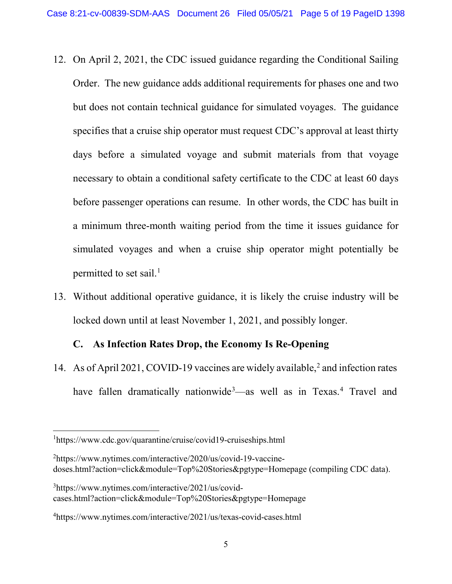- 12. On April 2, 2021, the CDC issued guidance regarding the Conditional Sailing Order. The new guidance adds additional requirements for phases one and two but does not contain technical guidance for simulated voyages. The guidance specifies that a cruise ship operator must request CDC's approval at least thirty days before a simulated voyage and submit materials from that voyage necessary to obtain a conditional safety certificate to the CDC at least 60 days before passenger operations can resume. In other words, the CDC has built in a minimum three-month waiting period from the time it issues guidance for simulated voyages and when a cruise ship operator might potentially be permitted to set sail.<sup>[1](#page-4-0)</sup>
- 13. Without additional operative guidance, it is likely the cruise industry will be locked down until at least November 1, 2021, and possibly longer.

# **C. As Infection Rates Drop, the Economy Is Re-Opening**

14. As of April [2](#page-4-1)021, COVID-19 vaccines are widely available,<sup>2</sup> and infection rates have fallen dramatically nationwide<sup>[3](#page-4-2)</sup> as well as in Texas.<sup>[4](#page-4-3)</sup> Travel and

<span id="page-4-0"></span>1 https://www.cdc.gov/quarantine/cruise/covid19-cruiseships.html

<span id="page-4-1"></span><sup>&</sup>lt;sup>2</sup>https://www.nytimes.com/interactive/2020/us/covid-19-vaccinedoses.html?action=click&module=Top%20Stories&pgtype=Homepage (compiling CDC data).

<span id="page-4-2"></span><sup>3</sup> https://www.nytimes.com/interactive/2021/us/covidcases.html?action=click&module=Top%20Stories&pgtype=Homepage

<span id="page-4-3"></span><sup>4</sup> https://www.nytimes.com/interactive/2021/us/texas-covid-cases.html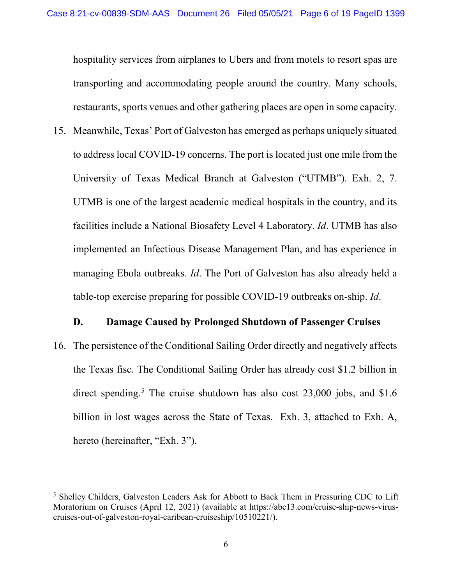hospitality services from airplanes to Ubers and from motels to resort spas are transporting and accommodating people around the country. Many schools, restaurants, sports venues and other gathering places are open in some capacity.

15. Meanwhile, Texas' Port of Galveston has emerged as perhaps uniquely situated to address local COVID-19 concerns. The port is located just one mile from the University of Texas Medical Branch at Galveston ("UTMB"). Exh. 2, 7. UTMB is one of the largest academic medical hospitals in the country, and its facilities include a National Biosafety Level 4 Laboratory. *Id*. UTMB has also implemented an Infectious Disease Management Plan, and has experience in managing Ebola outbreaks. *Id*. The Port of Galveston has also already held a table-top exercise preparing for possible COVID-19 outbreaks on-ship. *Id*.

#### **D. Damage Caused by Prolonged Shutdown of Passenger Cruises**

16. The persistence of the Conditional Sailing Order directly and negatively affects the Texas fisc. The Conditional Sailing Order has already cost \$1.2 billion in direct spending.<sup>[5](#page-5-0)</sup> The cruise shutdown has also cost  $23,000$  jobs, and \$1.6 billion in lost wages across the State of Texas. Exh. 3, attached to Exh. A, hereto (hereinafter, "Exh. 3").

 $\overline{a}$ 

<span id="page-5-0"></span><sup>&</sup>lt;sup>5</sup> Shelley Childers, Galveston Leaders Ask for Abbott to Back Them in Pressuring CDC to Lift Moratorium on Cruises (April 12, 2021) (available at https://abc13.com/cruise-ship-news-viruscruises-out-of-galveston-royal-caribean-cruiseship/10510221/).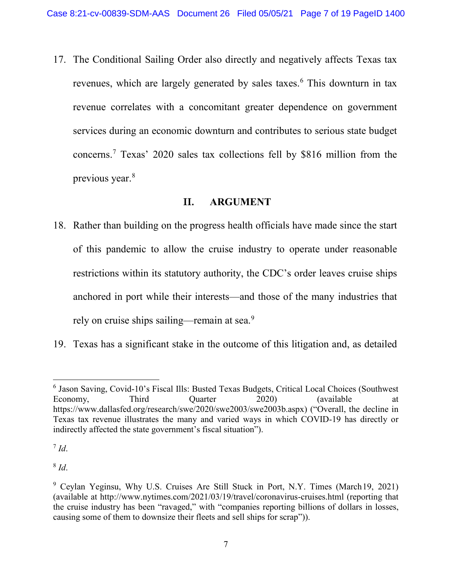17. The Conditional Sailing Order also directly and negatively affects Texas tax revenues, which are largely generated by sales taxes.<sup>[6](#page-6-0)</sup> This downturn in tax revenue correlates with a concomitant greater dependence on government services during an economic downturn and contributes to serious state budget concerns.[7](#page-6-1) Texas' 2020 sales tax collections fell by \$816 million from the previous year.[8](#page-6-2)

## **II. ARGUMENT**

- 18. Rather than building on the progress health officials have made since the start of this pandemic to allow the cruise industry to operate under reasonable restrictions within its statutory authority, the CDC's order leaves cruise ships anchored in port while their interests—and those of the many industries that rely on cruise ships sailing—remain at sea.<sup>[9](#page-6-3)</sup>
- 19. Texas has a significant stake in the outcome of this litigation and, as detailed

<span id="page-6-1"></span> $^7$  *Id*.

<span id="page-6-2"></span><sup>8</sup> *Id*.

<span id="page-6-0"></span><sup>6</sup> Jason Saving, Covid-10's Fiscal Ills: Busted Texas Budgets, Critical Local Choices (Southwest Economy, Third Quarter 2020) (available at https://www.dallasfed.org/research/swe/2020/swe2003/swe2003b.aspx) ("Overall, the decline in Texas tax revenue illustrates the many and varied ways in which COVID-19 has directly or indirectly affected the state government's fiscal situation").

<span id="page-6-3"></span><sup>9</sup> Ceylan Yeginsu, Why U.S. Cruises Are Still Stuck in Port, N.Y. Times (March19, 2021) (available at [http://www.nytimes.com/2021/03/19/travel/coronavirus-c](http://www.nytimes.com/2021/03/19/travel/coronavirus-)ruises.html (reporting that the cruise industry has been "ravaged," with "companies reporting billions of dollars in losses, causing some of them to downsize their fleets and sell ships for scrap")).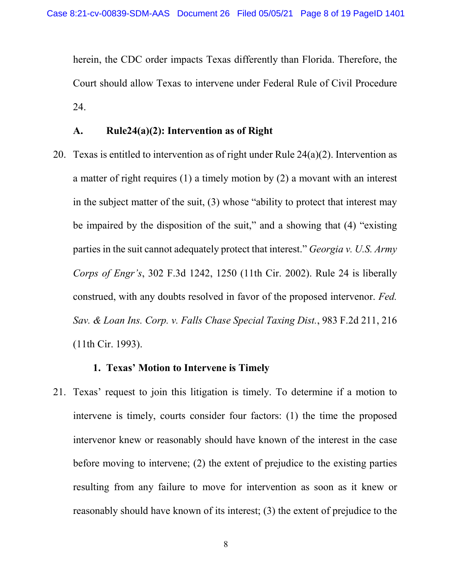herein, the CDC order impacts Texas differently than Florida. Therefore, the Court should allow Texas to intervene under Federal Rule of Civil Procedure 24.

### **A. Rule24(a)(2): Intervention as of Right**

20. Texas is entitled to intervention as of right under Rule  $24(a)(2)$ . Intervention as a matter of right requires (1) a timely motion by (2) a movant with an interest in the subject matter of the suit, (3) whose "ability to protect that interest may be impaired by the disposition of the suit," and a showing that (4) "existing parties in the suit cannot adequately protect that interest." *Georgia v. U.S. Army Corps of Engr's*, 302 F.3d 1242, 1250 (11th Cir. 2002). Rule 24 is liberally construed, with any doubts resolved in favor of the proposed intervenor. *Fed. Sav. & Loan Ins. Corp. v. Falls Chase Special Taxing Dist.*, 983 F.2d 211, 216 (11th Cir. 1993).

#### **1. Texas' Motion to Intervene is Timely**

21. Texas' request to join this litigation is timely. To determine if a motion to intervene is timely, courts consider four factors: (1) the time the proposed intervenor knew or reasonably should have known of the interest in the case before moving to intervene; (2) the extent of prejudice to the existing parties resulting from any failure to move for intervention as soon as it knew or reasonably should have known of its interest; (3) the extent of prejudice to the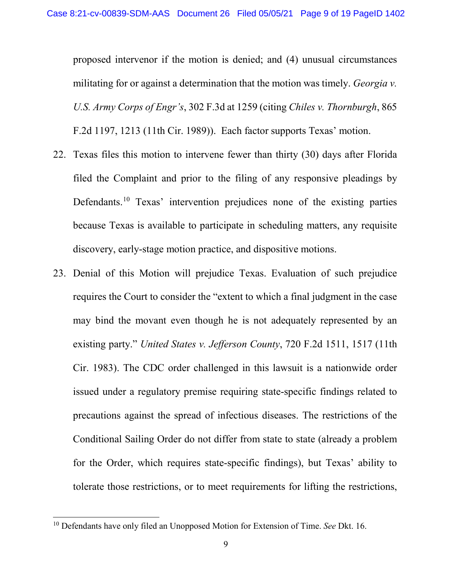proposed intervenor if the motion is denied; and (4) unusual circumstances militating for or against a determination that the motion was timely. *Georgia v. U.S. Army Corps of Engr's*, 302 F.3d at 1259 (citing *Chiles v. Thornburgh*, 865 F.2d 1197, 1213 (11th Cir. 1989)). Each factor supports Texas' motion.

- 22. Texas files this motion to intervene fewer than thirty (30) days after Florida filed the Complaint and prior to the filing of any responsive pleadings by Defendants.<sup>[10](#page-8-0)</sup> Texas' intervention prejudices none of the existing parties because Texas is available to participate in scheduling matters, any requisite discovery, early-stage motion practice, and dispositive motions.
- 23. Denial of this Motion will prejudice Texas. Evaluation of such prejudice requires the Court to consider the "extent to which a final judgment in the case may bind the movant even though he is not adequately represented by an existing party." *United States v. Jefferson County*, 720 F.2d 1511, 1517 (11th Cir. 1983). The CDC order challenged in this lawsuit is a nationwide order issued under a regulatory premise requiring state-specific findings related to precautions against the spread of infectious diseases. The restrictions of the Conditional Sailing Order do not differ from state to state (already a problem for the Order, which requires state-specific findings), but Texas' ability to tolerate those restrictions, or to meet requirements for lifting the restrictions,

<span id="page-8-0"></span><sup>10</sup> Defendants have only filed an Unopposed Motion for Extension of Time. *See* Dkt. 16.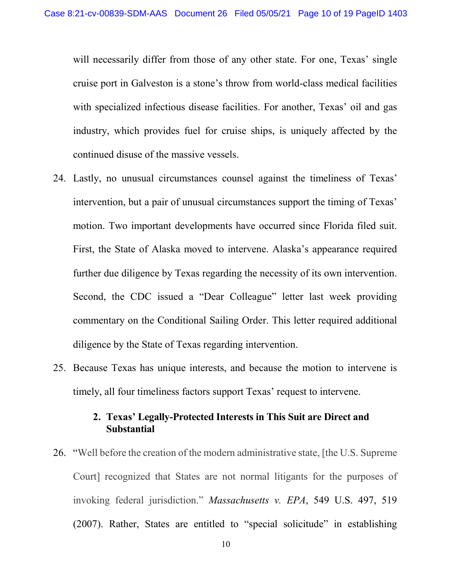will necessarily differ from those of any other state. For one, Texas' single cruise port in Galveston is a stone's throw from world-class medical facilities with specialized infectious disease facilities. For another, Texas' oil and gas industry, which provides fuel for cruise ships, is uniquely affected by the continued disuse of the massive vessels.

- 24. Lastly, no unusual circumstances counsel against the timeliness of Texas' intervention, but a pair of unusual circumstances support the timing of Texas' motion. Two important developments have occurred since Florida filed suit. First, the State of Alaska moved to intervene. Alaska's appearance required further due diligence by Texas regarding the necessity of its own intervention. Second, the CDC issued a "Dear Colleague" letter last week providing commentary on the Conditional Sailing Order. This letter required additional diligence by the State of Texas regarding intervention.
- 25. Because Texas has unique interests, and because the motion to intervene is timely, all four timeliness factors support Texas' request to intervene.

# **2. Texas' Legally-Protected Interests in This Suit are Direct and Substantial**

26. "Well before the creation of the modern administrative state, [the U.S. Supreme Court] recognized that States are not normal litigants for the purposes of invoking federal jurisdiction." *Massachusetts v. EPA*, 549 U.S. 497, 519 (2007). Rather, States are entitled to "special solicitude" in establishing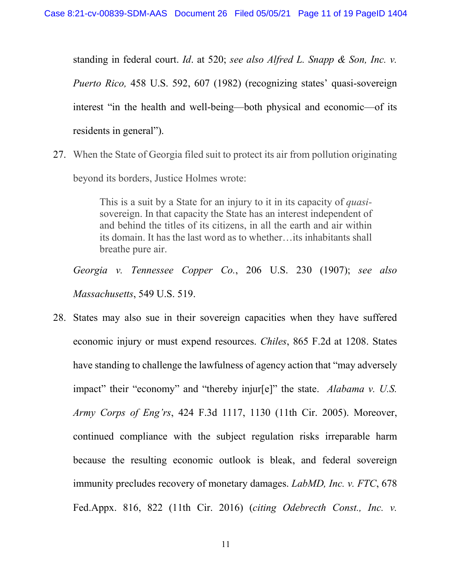standing in federal court. *Id*. at 520; *see also Alfred L. Snapp & Son, Inc. v. Puerto Rico,* 458 U.S. 592, 607 (1982) (recognizing states' quasi-sovereign interest "in the health and well-being—both physical and economic—of its residents in general").

27. When the State of Georgia filed suit to protect its air from pollution originating beyond its borders, Justice Holmes wrote:

> This is a suit by a State for an injury to it in its capacity of *quasi*sovereign. In that capacity the State has an interest independent of and behind the titles of its citizens, in all the earth and air within its domain. It has the last word as to whether…its inhabitants shall breathe pure air.

*Georgia v. Tennessee Copper Co.*, 206 U.S. 230 (1907); *see also Massachusetts*, 549 U.S. 519.

28. States may also sue in their sovereign capacities when they have suffered economic injury or must expend resources. *Chiles*, 865 F.2d at 1208. States have standing to challenge the lawfulness of agency action that "may adversely impact" their "economy" and "thereby injur[e]" the state. *Alabama v. U.S. Army Corps of Eng'rs*, 424 F.3d 1117, 1130 (11th Cir. 2005). Moreover, continued compliance with the subject regulation risks irreparable harm because the resulting economic outlook is bleak, and federal sovereign immunity precludes recovery of monetary damages. *LabMD, Inc. v. FTC*, 678 Fed.Appx. 816, 822 (11th Cir. 2016) (*citing Odebrecth Const., Inc. v.*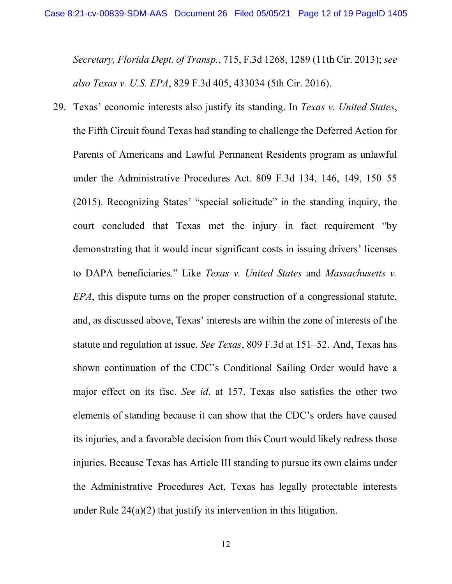*Secretary, Florida Dept. of Transp.*, 715, F.3d 1268, 1289 (11th Cir. 2013); *see also Texas v. U.S. EPA*, 829 F.3d 405, 433034 (5th Cir. 2016).

29. Texas' economic interests also justify its standing. In *Texas v. United States*, the Fifth Circuit found Texas had standing to challenge the Deferred Action for Parents of Americans and Lawful Permanent Residents program as unlawful under the Administrative Procedures Act. 809 F.3d 134, 146, 149, 150–55 (2015). Recognizing States' "special solicitude" in the standing inquiry, the court concluded that Texas met the injury in fact requirement "by demonstrating that it would incur significant costs in issuing drivers' licenses to DAPA beneficiaries." Like *Texas v. United States* and *Massachusetts v. EPA*, this dispute turns on the proper construction of a congressional statute, and, as discussed above, Texas' interests are within the zone of interests of the statute and regulation at issue. *See Texas*, 809 F.3d at 151–52. And, Texas has shown continuation of the CDC's Conditional Sailing Order would have a major effect on its fisc. *See id*. at 157. Texas also satisfies the other two elements of standing because it can show that the CDC's orders have caused its injuries, and a favorable decision from this Court would likely redress those injuries. Because Texas has Article III standing to pursue its own claims under the Administrative Procedures Act, Texas has legally protectable interests under Rule 24(a)(2) that justify its intervention in this litigation.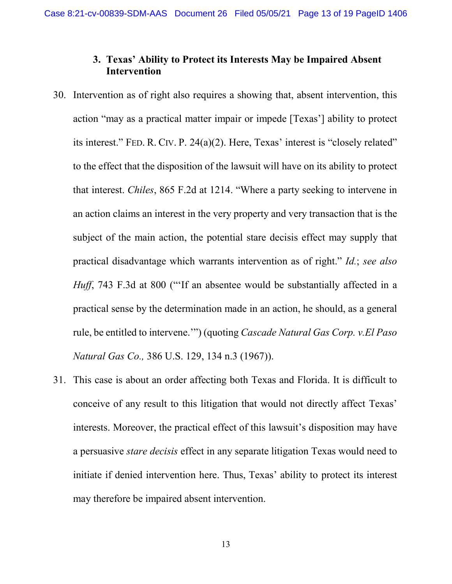# **3. Texas' Ability to Protect its Interests May be Impaired Absent Intervention**

- 30. Intervention as of right also requires a showing that, absent intervention, this action "may as a practical matter impair or impede [Texas'] ability to protect its interest." FED. R. CIV. P. 24(a)(2). Here, Texas' interest is "closely related" to the effect that the disposition of the lawsuit will have on its ability to protect that interest. *Chiles*, 865 F.2d at 1214. "Where a party seeking to intervene in an action claims an interest in the very property and very transaction that is the subject of the main action, the potential stare decisis effect may supply that practical disadvantage which warrants intervention as of right." *Id.*; *see also Huff*, 743 F.3d at 800 ("If an absentee would be substantially affected in a practical sense by the determination made in an action, he should, as a general rule, be entitled to intervene.'") (quoting *Cascade Natural Gas Corp. v.El Paso Natural Gas Co.,* 386 U.S. 129, 134 n.3 (1967)).
- 31. This case is about an order affecting both Texas and Florida. It is difficult to conceive of any result to this litigation that would not directly affect Texas' interests. Moreover, the practical effect of this lawsuit's disposition may have a persuasive *stare decisis* effect in any separate litigation Texas would need to initiate if denied intervention here. Thus, Texas' ability to protect its interest may therefore be impaired absent intervention.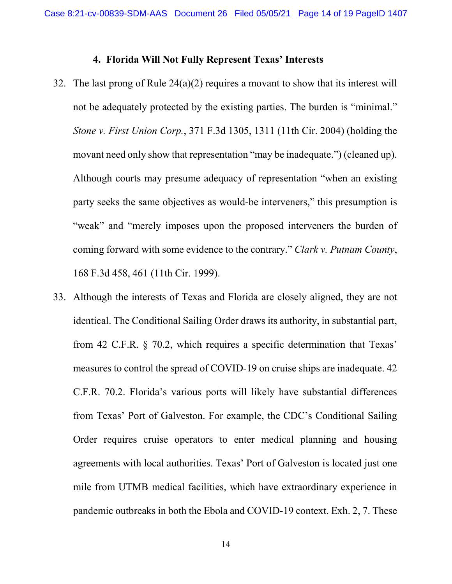### **4. Florida Will Not Fully Represent Texas' Interests**

- 32. The last prong of Rule 24(a)(2) requires a movant to show that its interest will not be adequately protected by the existing parties. The burden is "minimal." *Stone v. First Union Corp.*, 371 F.3d 1305, 1311 (11th Cir. 2004) (holding the movant need only show that representation "may be inadequate.") (cleaned up). Although courts may presume adequacy of representation "when an existing party seeks the same objectives as would-be interveners," this presumption is "weak" and "merely imposes upon the proposed interveners the burden of coming forward with some evidence to the contrary." *Clark v. Putnam County*, 168 F.3d 458, 461 (11th Cir. 1999).
- 33. Although the interests of Texas and Florida are closely aligned, they are not identical. The Conditional Sailing Order draws its authority, in substantial part, from 42 C.F.R. § 70.2, which requires a specific determination that Texas' measures to control the spread of COVID-19 on cruise ships are inadequate. 42 C.F.R. 70.2. Florida's various ports will likely have substantial differences from Texas' Port of Galveston. For example, the CDC's Conditional Sailing Order requires cruise operators to enter medical planning and housing agreements with local authorities. Texas' Port of Galveston is located just one mile from UTMB medical facilities, which have extraordinary experience in pandemic outbreaks in both the Ebola and COVID-19 context. Exh. 2, 7. These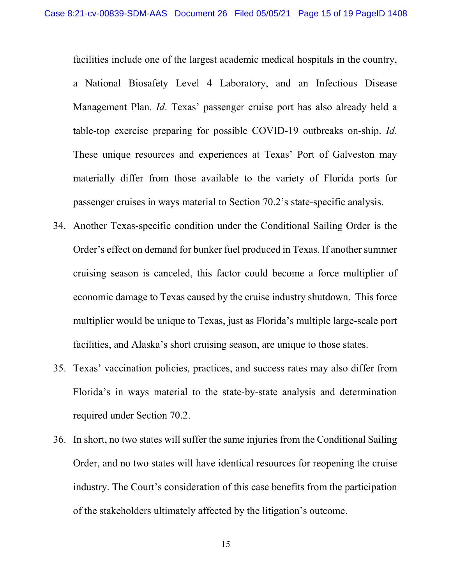facilities include one of the largest academic medical hospitals in the country,

a National Biosafety Level 4 Laboratory, and an Infectious Disease Management Plan. *Id*. Texas' passenger cruise port has also already held a table-top exercise preparing for possible COVID-19 outbreaks on-ship. *Id*. These unique resources and experiences at Texas' Port of Galveston may materially differ from those available to the variety of Florida ports for passenger cruises in ways material to Section 70.2's state-specific analysis.

- 34. Another Texas-specific condition under the Conditional Sailing Order is the Order's effect on demand for bunker fuel produced in Texas. If another summer cruising season is canceled, this factor could become a force multiplier of economic damage to Texas caused by the cruise industry shutdown. This force multiplier would be unique to Texas, just as Florida's multiple large-scale port facilities, and Alaska's short cruising season, are unique to those states.
- 35. Texas' vaccination policies, practices, and success rates may also differ from Florida's in ways material to the state-by-state analysis and determination required under Section 70.2.
- 36. In short, no two states will suffer the same injuries from the Conditional Sailing Order, and no two states will have identical resources for reopening the cruise industry. The Court's consideration of this case benefits from the participation of the stakeholders ultimately affected by the litigation's outcome.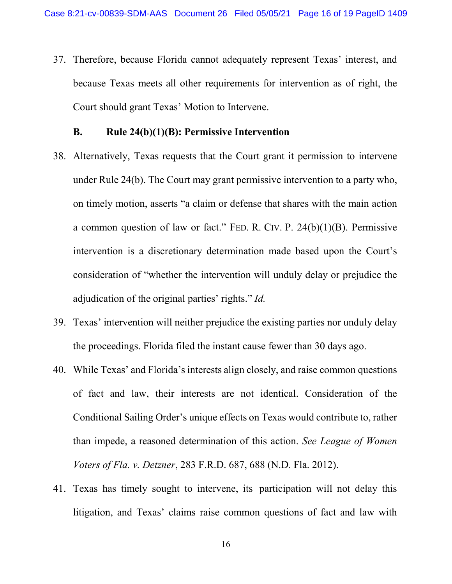37. Therefore, because Florida cannot adequately represent Texas' interest, and because Texas meets all other requirements for intervention as of right, the Court should grant Texas' Motion to Intervene.

### **B. Rule 24(b)(1)(B): Permissive Intervention**

- 38. Alternatively, Texas requests that the Court grant it permission to intervene under Rule 24(b). The Court may grant permissive intervention to a party who, on timely motion, asserts "a claim or defense that shares with the main action a common question of law or fact." FED. R. CIV. P. 24(b)(1)(B). Permissive intervention is a discretionary determination made based upon the Court's consideration of "whether the intervention will unduly delay or prejudice the adjudication of the original parties' rights." *Id.*
- 39. Texas' intervention will neither prejudice the existing parties nor unduly delay the proceedings. Florida filed the instant cause fewer than 30 days ago.
- 40. While Texas' and Florida'sinterests align closely, and raise common questions of fact and law, their interests are not identical. Consideration of the Conditional Sailing Order's unique effects on Texas would contribute to, rather than impede, a reasoned determination of this action. *See League of Women Voters of Fla. v. Detzner*, 283 F.R.D. 687, 688 (N.D. Fla. 2012).
- 41. Texas has timely sought to intervene, its participation will not delay this litigation, and Texas' claims raise common questions of fact and law with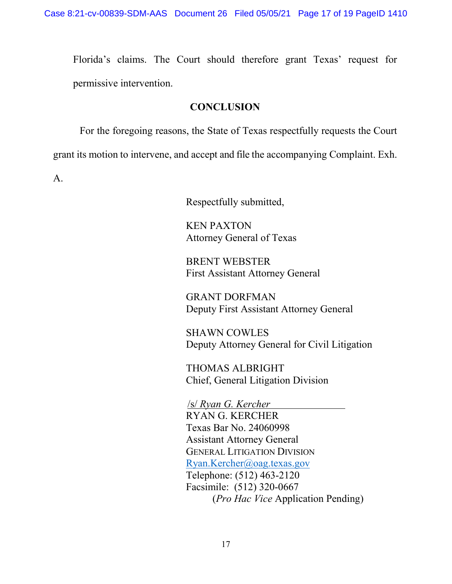Florida's claims. The Court should therefore grant Texas' request for permissive intervention.

## **CONCLUSION**

For the foregoing reasons, the State of Texas respectfully requests the Court grant its motion to intervene, and accept and file the accompanying Complaint. Exh. A.

Respectfully submitted,

KEN PAXTON Attorney General of Texas

BRENT WEBSTER First Assistant Attorney General

GRANT DORFMAN Deputy First Assistant Attorney General

SHAWN COWLES Deputy Attorney General for Civil Litigation

THOMAS ALBRIGHT Chief, General Litigation Division

/s/ *Ryan G. Kercher*

RYAN G. KERCHER Texas Bar No. 24060998 Assistant Attorney General GENERAL LITIGATION DIVISION [Ryan.Kercher@oag.texas.gov](mailto:Ryan.Kercher@oag.texas.gov) Telephone: (512) 463-2120 Facsimile: (512) 320-0667 (*Pro Hac Vice* Application Pending)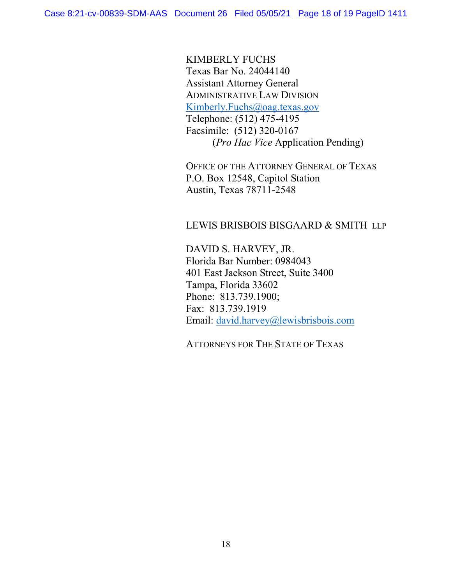KIMBERLY FUCHS Texas Bar No. 24044140 Assistant Attorney General ADMINISTRATIVE LAW DIVISION [Kimberly.Fuchs@oag.texas.gov](mailto:Kimberly.Fuchs@oag.texas.gov) Telephone: (512) 475-4195 Facsimile: (512) 320-0167 (*Pro Hac Vice* Application Pending)

OFFICE OF THE ATTORNEY GENERAL OF TEXAS P.O. Box 12548, Capitol Station Austin, Texas 78711-2548

#### LEWIS BRISBOIS BISGAARD & SMITH LLP

DAVID S. HARVEY, JR. Florida Bar Number: 0984043 401 East Jackson Street, Suite 3400 Tampa, Florida 33602 Phone: 813.739.1900; Fax: 813.739.1919 Email: [david.harvey@lewisbrisbois.com](mailto:david.harvey@lewisbrisbois.com)

ATTORNEYS FOR THE STATE OF TEXAS